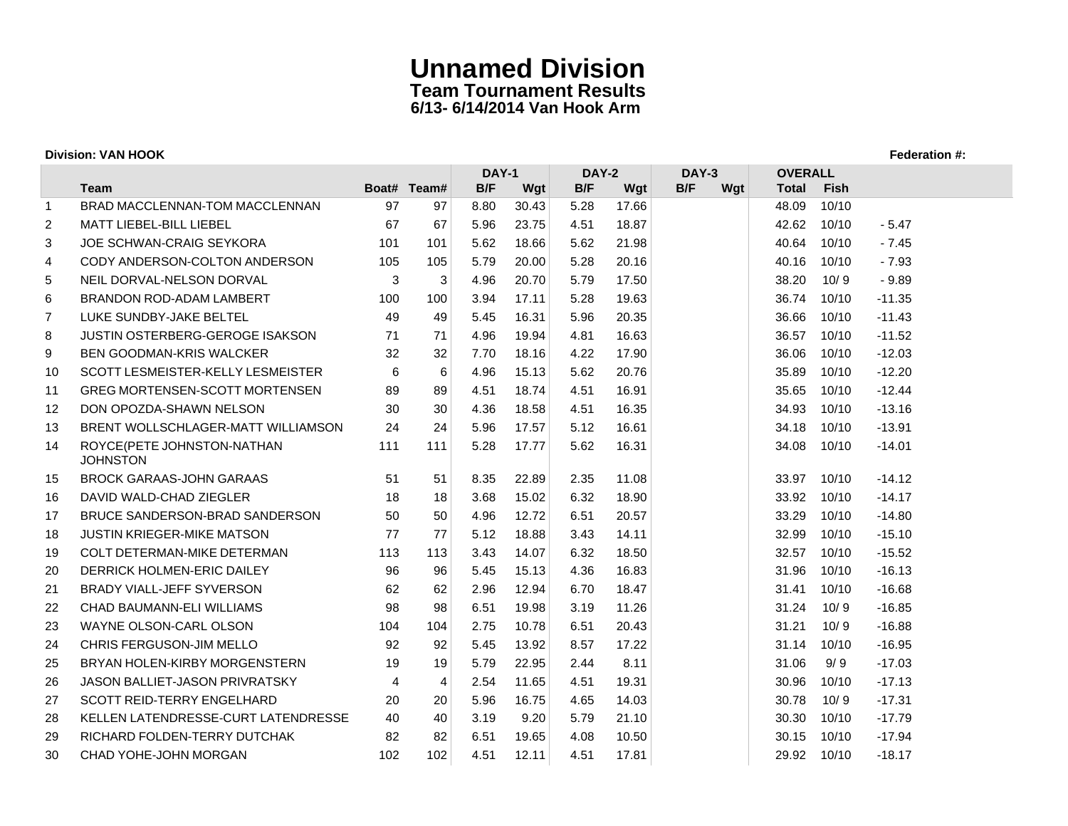| <b>Division: VAN HOOK</b> |                                               |                |                |      |                                              |      |       |     |     |                |             |          |
|---------------------------|-----------------------------------------------|----------------|----------------|------|----------------------------------------------|------|-------|-----|-----|----------------|-------------|----------|
|                           |                                               |                |                |      | <b>DAY-1</b><br><b>DAY-2</b><br><b>DAY-3</b> |      |       |     |     | <b>OVERALL</b> |             |          |
|                           | Team                                          |                | Boat# Team#    | B/F  | Wgt                                          | B/F  | Wgt   | B/F | Wgt | <b>Total</b>   | <b>Fish</b> |          |
| -1                        | BRAD MACCLENNAN-TOM MACCLENNAN                | 97             | 97             | 8.80 | 30.43                                        | 5.28 | 17.66 |     |     | 48.09          | 10/10       |          |
| 2                         | <b>MATT LIEBEL-BILL LIEBEL</b>                | 67             | 67             | 5.96 | 23.75                                        | 4.51 | 18.87 |     |     | 42.62          | 10/10       | $-5.47$  |
| 3                         | <b>JOE SCHWAN-CRAIG SEYKORA</b>               | 101            | 101            | 5.62 | 18.66                                        | 5.62 | 21.98 |     |     | 40.64          | 10/10       | $-7.45$  |
| 4                         | CODY ANDERSON-COLTON ANDERSON                 | 105            | 105            | 5.79 | 20.00                                        | 5.28 | 20.16 |     |     | 40.16          | 10/10       | $-7.93$  |
| 5                         | NEIL DORVAL-NELSON DORVAL                     | 3              | $\mathbf{3}$   | 4.96 | 20.70                                        | 5.79 | 17.50 |     |     | 38.20          | 10/9        | $-9.89$  |
| 6                         | BRANDON ROD-ADAM LAMBERT                      | 100            | 100            | 3.94 | 17.11                                        | 5.28 | 19.63 |     |     | 36.74          | 10/10       | $-11.35$ |
| $\overline{7}$            | LUKE SUNDBY-JAKE BELTEL                       | 49             | 49             | 5.45 | 16.31                                        | 5.96 | 20.35 |     |     | 36.66          | 10/10       | $-11.43$ |
| 8                         | <b>JUSTIN OSTERBERG-GEROGE ISAKSON</b>        | 71             | 71             | 4.96 | 19.94                                        | 4.81 | 16.63 |     |     | 36.57          | 10/10       | $-11.52$ |
| 9                         | BEN GOODMAN-KRIS WALCKER                      | 32             | 32             | 7.70 | 18.16                                        | 4.22 | 17.90 |     |     | 36.06          | 10/10       | $-12.03$ |
| 10                        | SCOTT LESMEISTER-KELLY LESMEISTER             | 6              | 6              | 4.96 | 15.13                                        | 5.62 | 20.76 |     |     | 35.89          | 10/10       | $-12.20$ |
| 11                        | <b>GREG MORTENSEN-SCOTT MORTENSEN</b>         | 89             | 89             | 4.51 | 18.74                                        | 4.51 | 16.91 |     |     | 35.65          | 10/10       | $-12.44$ |
| 12                        | DON OPOZDA-SHAWN NELSON                       | 30             | 30             | 4.36 | 18.58                                        | 4.51 | 16.35 |     |     | 34.93          | 10/10       | $-13.16$ |
| 13                        | BRENT WOLLSCHLAGER-MATT WILLIAMSON            | 24             | 24             | 5.96 | 17.57                                        | 5.12 | 16.61 |     |     | 34.18          | 10/10       | $-13.91$ |
| 14                        | ROYCE(PETE JOHNSTON-NATHAN<br><b>JOHNSTON</b> | 111            | 111            | 5.28 | 17.77                                        | 5.62 | 16.31 |     |     | 34.08          | 10/10       | $-14.01$ |
| 15                        | <b>BROCK GARAAS-JOHN GARAAS</b>               | 51             | 51             | 8.35 | 22.89                                        | 2.35 | 11.08 |     |     | 33.97          | 10/10       | $-14.12$ |
| 16                        | DAVID WALD-CHAD ZIEGLER                       | 18             | 18             | 3.68 | 15.02                                        | 6.32 | 18.90 |     |     | 33.92          | 10/10       | $-14.17$ |
| 17                        | BRUCE SANDERSON-BRAD SANDERSON                | 50             | 50             | 4.96 | 12.72                                        | 6.51 | 20.57 |     |     | 33.29          | 10/10       | $-14.80$ |
| 18                        | <b>JUSTIN KRIEGER-MIKE MATSON</b>             | 77             | 77             | 5.12 | 18.88                                        | 3.43 | 14.11 |     |     | 32.99          | 10/10       | $-15.10$ |
| 19                        | <b>COLT DETERMAN-MIKE DETERMAN</b>            | 113            | 113            | 3.43 | 14.07                                        | 6.32 | 18.50 |     |     | 32.57          | 10/10       | $-15.52$ |
| 20                        | DERRICK HOLMEN-ERIC DAILEY                    | 96             | 96             | 5.45 | 15.13                                        | 4.36 | 16.83 |     |     | 31.96          | 10/10       | $-16.13$ |
| 21                        | BRADY VIALL-JEFF SYVERSON                     | 62             | 62             | 2.96 | 12.94                                        | 6.70 | 18.47 |     |     | 31.41          | 10/10       | $-16.68$ |
| 22                        | CHAD BAUMANN-ELI WILLIAMS                     | 98             | 98             | 6.51 | 19.98                                        | 3.19 | 11.26 |     |     | 31.24          | 10/9        | $-16.85$ |
| 23                        | WAYNE OLSON-CARL OLSON                        | 104            | 104            | 2.75 | 10.78                                        | 6.51 | 20.43 |     |     | 31.21          | 10/9        | $-16.88$ |
| 24                        | CHRIS FERGUSON-JIM MELLO                      | 92             | 92             | 5.45 | 13.92                                        | 8.57 | 17.22 |     |     | 31.14          | 10/10       | $-16.95$ |
| 25                        | BRYAN HOLEN-KIRBY MORGENSTERN                 | 19             | 19             | 5.79 | 22.95                                        | 2.44 | 8.11  |     |     | 31.06          | 9/9         | $-17.03$ |
| 26                        | <b>JASON BALLIET-JASON PRIVRATSKY</b>         | $\overline{4}$ | $\overline{4}$ | 2.54 | 11.65                                        | 4.51 | 19.31 |     |     | 30.96          | 10/10       | $-17.13$ |
| 27                        | <b>SCOTT REID-TERRY ENGELHARD</b>             | 20             | 20             | 5.96 | 16.75                                        | 4.65 | 14.03 |     |     | 30.78          | 10/9        | $-17.31$ |
| 28                        | KELLEN LATENDRESSE-CURT LATENDRESSE           | 40             | 40             | 3.19 | 9.20                                         | 5.79 | 21.10 |     |     | 30.30          | 10/10       | $-17.79$ |
| 29                        | RICHARD FOLDEN-TERRY DUTCHAK                  | 82             | 82             | 6.51 | 19.65                                        | 4.08 | 10.50 |     |     | 30.15          | 10/10       | $-17.94$ |
| 30                        | CHAD YOHE-JOHN MORGAN                         | 102            | 102            | 4.51 | 12.11                                        | 4.51 | 17.81 |     |     | 29.92          | 10/10       | $-18.17$ |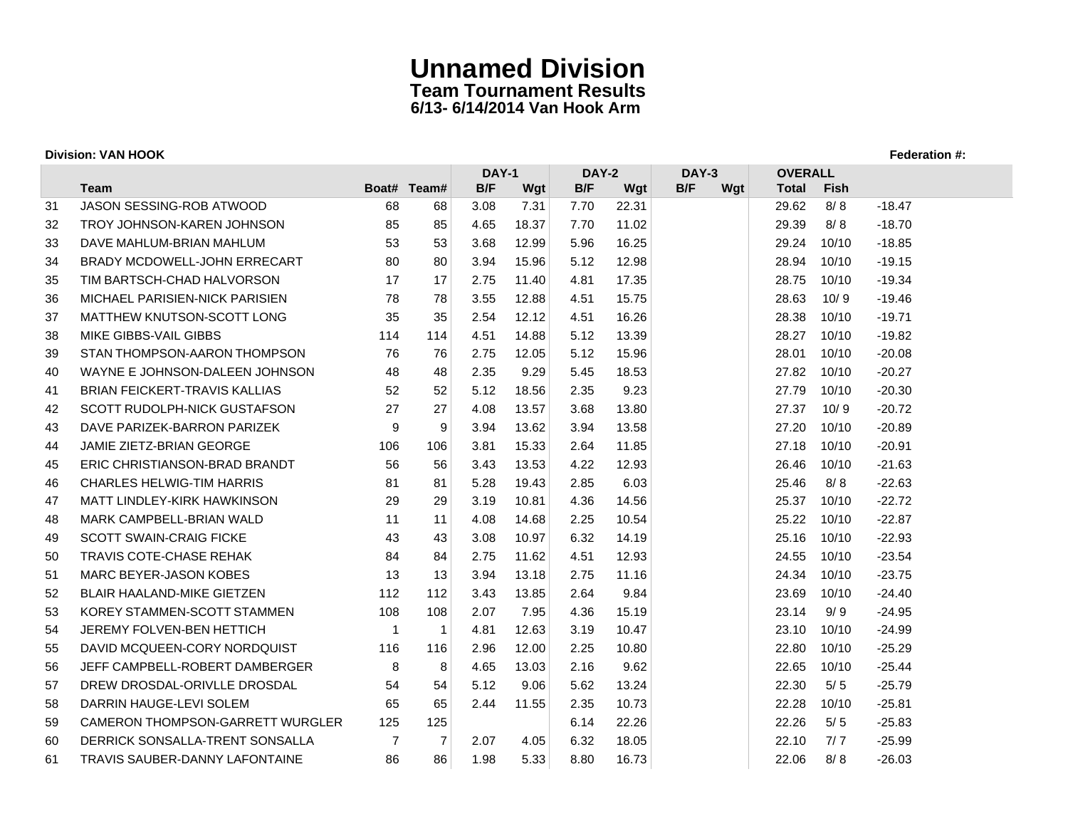| <b>Division: VAN HOOK</b> |                                  |     |                |              |       |                       |       |     |     |                |       |          |
|---------------------------|----------------------------------|-----|----------------|--------------|-------|-----------------------|-------|-----|-----|----------------|-------|----------|
|                           |                                  |     |                | <b>DAY-1</b> |       | <b>DAY-2</b><br>DAY-3 |       |     |     | <b>OVERALL</b> |       |          |
|                           | Team                             |     | Boat# Team#    | B/F          | Wgt   | B/F                   | Wgt   | B/F | Wgt | <b>Total</b>   | Fish  |          |
| 31                        | JASON SESSING-ROB ATWOOD         | 68  | 68             | 3.08         | 7.31  | 7.70                  | 22.31 |     |     | 29.62          | 8/8   | $-18.47$ |
| 32                        | TROY JOHNSON-KAREN JOHNSON       | 85  | 85             | 4.65         | 18.37 | 7.70                  | 11.02 |     |     | 29.39          | 8/8   | $-18.70$ |
| 33                        | DAVE MAHLUM-BRIAN MAHLUM         | 53  | 53             | 3.68         | 12.99 | 5.96                  | 16.25 |     |     | 29.24          | 10/10 | $-18.85$ |
| 34                        | BRADY MCDOWELL-JOHN ERRECART     | 80  | 80             | 3.94         | 15.96 | 5.12                  | 12.98 |     |     | 28.94          | 10/10 | $-19.15$ |
| 35                        | TIM BARTSCH-CHAD HALVORSON       | 17  | 17             | 2.75         | 11.40 | 4.81                  | 17.35 |     |     | 28.75          | 10/10 | $-19.34$ |
| 36                        | MICHAEL PARISIEN-NICK PARISIEN   | 78  | 78             | 3.55         | 12.88 | 4.51                  | 15.75 |     |     | 28.63          | 10/9  | $-19.46$ |
| 37                        | MATTHEW KNUTSON-SCOTT LONG       | 35  | 35             | 2.54         | 12.12 | 4.51                  | 16.26 |     |     | 28.38          | 10/10 | $-19.71$ |
| 38                        | MIKE GIBBS-VAIL GIBBS            | 114 | 114            | 4.51         | 14.88 | 5.12                  | 13.39 |     |     | 28.27          | 10/10 | $-19.82$ |
| 39                        | STAN THOMPSON-AARON THOMPSON     | 76  | 76             | 2.75         | 12.05 | 5.12                  | 15.96 |     |     | 28.01          | 10/10 | $-20.08$ |
| 40                        | WAYNE E JOHNSON-DALEEN JOHNSON   | 48  | 48             | 2.35         | 9.29  | 5.45                  | 18.53 |     |     | 27.82          | 10/10 | $-20.27$ |
| 41                        | BRIAN FEICKERT-TRAVIS KALLIAS    | 52  | 52             | 5.12         | 18.56 | 2.35                  | 9.23  |     |     | 27.79          | 10/10 | $-20.30$ |
| 42                        | SCOTT RUDOLPH-NICK GUSTAFSON     | 27  | 27             | 4.08         | 13.57 | 3.68                  | 13.80 |     |     | 27.37          | 10/9  | $-20.72$ |
| 43                        | DAVE PARIZEK-BARRON PARIZEK      | 9   | 9              | 3.94         | 13.62 | 3.94                  | 13.58 |     |     | 27.20          | 10/10 | $-20.89$ |
| 44                        | JAMIE ZIETZ-BRIAN GEORGE         | 106 | 106            | 3.81         | 15.33 | 2.64                  | 11.85 |     |     | 27.18          | 10/10 | $-20.91$ |
| 45                        | ERIC CHRISTIANSON-BRAD BRANDT    | 56  | 56             | 3.43         | 13.53 | 4.22                  | 12.93 |     |     | 26.46          | 10/10 | $-21.63$ |
| 46                        | <b>CHARLES HELWIG-TIM HARRIS</b> | 81  | 81             | 5.28         | 19.43 | 2.85                  | 6.03  |     |     | 25.46          | 8/8   | $-22.63$ |
| 47                        | MATT LINDLEY-KIRK HAWKINSON      | 29  | 29             | 3.19         | 10.81 | 4.36                  | 14.56 |     |     | 25.37          | 10/10 | $-22.72$ |
| 48                        | MARK CAMPBELL-BRIAN WALD         | 11  | 11             | 4.08         | 14.68 | 2.25                  | 10.54 |     |     | 25.22          | 10/10 | $-22.87$ |
| 49                        | <b>SCOTT SWAIN-CRAIG FICKE</b>   | 43  | 43             | 3.08         | 10.97 | 6.32                  | 14.19 |     |     | 25.16          | 10/10 | $-22.93$ |
| 50                        | <b>TRAVIS COTE-CHASE REHAK</b>   | 84  | 84             | 2.75         | 11.62 | 4.51                  | 12.93 |     |     | 24.55          | 10/10 | $-23.54$ |
| 51                        | <b>MARC BEYER-JASON KOBES</b>    | 13  | 13             | 3.94         | 13.18 | 2.75                  | 11.16 |     |     | 24.34          | 10/10 | $-23.75$ |
| 52                        | BLAIR HAALAND-MIKE GIETZEN       | 112 | 112            | 3.43         | 13.85 | 2.64                  | 9.84  |     |     | 23.69          | 10/10 | $-24.40$ |
| 53                        | KOREY STAMMEN-SCOTT STAMMEN      | 108 | 108            | 2.07         | 7.95  | 4.36                  | 15.19 |     |     | 23.14          | 9/9   | $-24.95$ |
| 54                        | JEREMY FOLVEN-BEN HETTICH        | -1  | $\mathbf{1}$   | 4.81         | 12.63 | 3.19                  | 10.47 |     |     | 23.10          | 10/10 | $-24.99$ |
| 55                        | DAVID MCQUEEN-CORY NORDQUIST     | 116 | 116            | 2.96         | 12.00 | 2.25                  | 10.80 |     |     | 22.80          | 10/10 | $-25.29$ |
| 56                        | JEFF CAMPBELL-ROBERT DAMBERGER   | 8   | 8              | 4.65         | 13.03 | 2.16                  | 9.62  |     |     | 22.65          | 10/10 | $-25.44$ |
| 57                        | DREW DROSDAL-ORIVLLE DROSDAL     | 54  | 54             | 5.12         | 9.06  | 5.62                  | 13.24 |     |     | 22.30          | 5/5   | $-25.79$ |
| 58                        | DARRIN HAUGE-LEVI SOLEM          | 65  | 65             | 2.44         | 11.55 | 2.35                  | 10.73 |     |     | 22.28          | 10/10 | $-25.81$ |
| 59                        | CAMERON THOMPSON-GARRETT WURGLER | 125 | 125            |              |       | 6.14                  | 22.26 |     |     | 22.26          | 5/5   | $-25.83$ |
| 60                        | DERRICK SONSALLA-TRENT SONSALLA  | 7   | $\overline{7}$ | 2.07         | 4.05  | 6.32                  | 18.05 |     |     | 22.10          | 7/7   | $-25.99$ |
| 61                        | TRAVIS SAUBER-DANNY LAFONTAINE   | 86  | 86             | 1.98         | 5.33  | 8.80                  | 16.73 |     |     | 22.06          | 8/8   | $-26.03$ |
|                           |                                  |     |                |              |       |                       |       |     |     |                |       |          |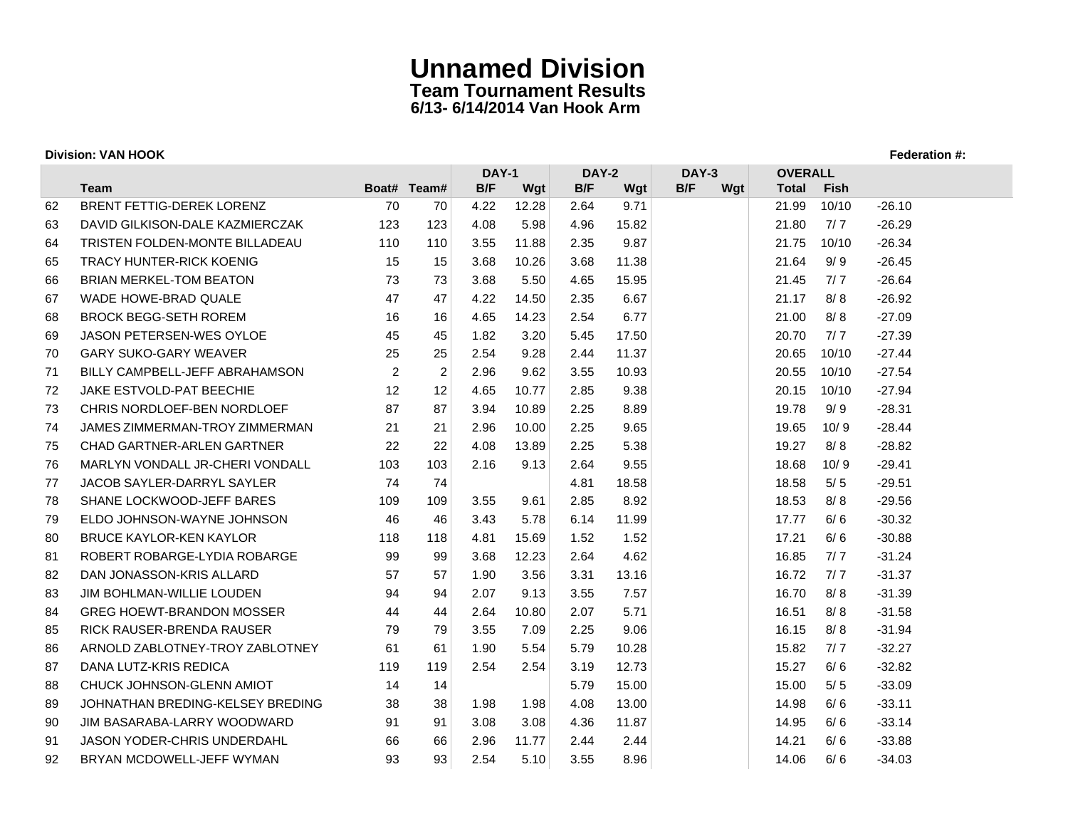| <b>Division: VAN HOOK</b>          |                                                                                                        |                |                                       |                                              |                               |                             |                              |     |       |                                         |                                                               |  |
|------------------------------------|--------------------------------------------------------------------------------------------------------|----------------|---------------------------------------|----------------------------------------------|-------------------------------|-----------------------------|------------------------------|-----|-------|-----------------------------------------|---------------------------------------------------------------|--|
|                                    |                                                                                                        |                |                                       | <b>DAY-1</b><br><b>DAY-2</b><br><b>DAY-3</b> |                               |                             |                              |     |       |                                         |                                                               |  |
|                                    |                                                                                                        |                |                                       |                                              |                               |                             |                              |     |       |                                         |                                                               |  |
|                                    |                                                                                                        |                |                                       |                                              |                               |                             |                              |     |       |                                         | $-26.10$                                                      |  |
|                                    |                                                                                                        |                |                                       |                                              |                               |                             |                              |     |       |                                         | $-26.29$                                                      |  |
|                                    | 110                                                                                                    |                |                                       |                                              |                               |                             |                              |     |       |                                         | $-26.34$                                                      |  |
| <b>TRACY HUNTER-RICK KOENIG</b>    | 15                                                                                                     | 15             | 3.68                                  | 10.26                                        | 3.68                          | 11.38                       |                              |     | 21.64 |                                         | $-26.45$                                                      |  |
| <b>BRIAN MERKEL-TOM BEATON</b>     | 73                                                                                                     | 73             | 3.68                                  | 5.50                                         | 4.65                          | 15.95                       |                              |     | 21.45 |                                         | $-26.64$                                                      |  |
| WADE HOWE-BRAD QUALE               | 47                                                                                                     |                | 4.22                                  | 14.50                                        | 2.35                          | 6.67                        |                              |     | 21.17 | 8/8                                     | $-26.92$                                                      |  |
| <b>BROCK BEGG-SETH ROREM</b>       | 16                                                                                                     | 16             | 4.65                                  | 14.23                                        | 2.54                          | 6.77                        |                              |     | 21.00 | 8/8                                     | $-27.09$                                                      |  |
| <b>JASON PETERSEN-WES OYLOE</b>    | 45                                                                                                     | 45             | 1.82                                  | 3.20                                         | 5.45                          | 17.50                       |                              |     | 20.70 | 7/7                                     | $-27.39$                                                      |  |
| <b>GARY SUKO-GARY WEAVER</b>       | 25                                                                                                     | 25             | 2.54                                  | 9.28                                         | 2.44                          | 11.37                       |                              |     | 20.65 | 10/10                                   | $-27.44$                                                      |  |
| BILLY CAMPBELL-JEFF ABRAHAMSON     | 2                                                                                                      | $\overline{2}$ | 2.96                                  | 9.62                                         | 3.55                          | 10.93                       |                              |     | 20.55 | 10/10                                   | $-27.54$                                                      |  |
| <b>JAKE ESTVOLD-PAT BEECHIE</b>    | 12                                                                                                     | 12             | 4.65                                  | 10.77                                        | 2.85                          | 9.38                        |                              |     | 20.15 | 10/10                                   | $-27.94$                                                      |  |
| CHRIS NORDLOEF-BEN NORDLOEF        | 87                                                                                                     | 87             | 3.94                                  | 10.89                                        | 2.25                          | 8.89                        |                              |     | 19.78 | 9/9                                     | $-28.31$                                                      |  |
| JAMES ZIMMERMAN-TROY ZIMMERMAN     | 21                                                                                                     | 21             | 2.96                                  | 10.00                                        | 2.25                          | 9.65                        |                              |     | 19.65 | 10/9                                    | $-28.44$                                                      |  |
| <b>CHAD GARTNER-ARLEN GARTNER</b>  | 22                                                                                                     | 22             | 4.08                                  | 13.89                                        | 2.25                          | 5.38                        |                              |     | 19.27 | 8/8                                     | $-28.82$                                                      |  |
| MARLYN VONDALL JR-CHERI VONDALL    | 103                                                                                                    | 103            | 2.16                                  | 9.13                                         | 2.64                          | 9.55                        |                              |     | 18.68 | 10/9                                    | $-29.41$                                                      |  |
| JACOB SAYLER-DARRYL SAYLER         | 74                                                                                                     | 74             |                                       |                                              | 4.81                          | 18.58                       |                              |     | 18.58 | 5/5                                     | $-29.51$                                                      |  |
| SHANE LOCKWOOD-JEFF BARES          | 109                                                                                                    | 109            | 3.55                                  | 9.61                                         | 2.85                          | 8.92                        |                              |     | 18.53 | 8/8                                     | $-29.56$                                                      |  |
| ELDO JOHNSON-WAYNE JOHNSON         | 46                                                                                                     | 46             | 3.43                                  | 5.78                                         | 6.14                          | 11.99                       |                              |     | 17.77 | 6/6                                     | $-30.32$                                                      |  |
| <b>BRUCE KAYLOR-KEN KAYLOR</b>     | 118                                                                                                    | 118            | 4.81                                  | 15.69                                        | 1.52                          | 1.52                        |                              |     | 17.21 | 6/6                                     | $-30.88$                                                      |  |
| ROBERT ROBARGE-LYDIA ROBARGE       | 99                                                                                                     | 99             | 3.68                                  | 12.23                                        | 2.64                          | 4.62                        |                              |     | 16.85 | 7/7                                     | $-31.24$                                                      |  |
| DAN JONASSON-KRIS ALLARD           | 57                                                                                                     | 57             | 1.90                                  | 3.56                                         | 3.31                          | 13.16                       |                              |     | 16.72 | 7/7                                     | $-31.37$                                                      |  |
| <b>JIM BOHLMAN-WILLIE LOUDEN</b>   | 94                                                                                                     | 94             | 2.07                                  | 9.13                                         | 3.55                          | 7.57                        |                              |     | 16.70 | 8/8                                     | $-31.39$                                                      |  |
| <b>GREG HOEWT-BRANDON MOSSER</b>   | 44                                                                                                     | 44             | 2.64                                  | 10.80                                        | 2.07                          | 5.71                        |                              |     | 16.51 | 8/8                                     | $-31.58$                                                      |  |
| RICK RAUSER-BRENDA RAUSER          | 79                                                                                                     | 79             | 3.55                                  | 7.09                                         | 2.25                          | 9.06                        |                              |     | 16.15 | 8/8                                     | $-31.94$                                                      |  |
| ARNOLD ZABLOTNEY-TROY ZABLOTNEY    | 61                                                                                                     | 61             | 1.90                                  | 5.54                                         | 5.79                          | 10.28                       |                              |     | 15.82 | 7/7                                     | $-32.27$                                                      |  |
| DANA LUTZ-KRIS REDICA              | 119                                                                                                    | 119            | 2.54                                  | 2.54                                         | 3.19                          | 12.73                       |                              |     | 15.27 | 6/6                                     | $-32.82$                                                      |  |
| CHUCK JOHNSON-GLENN AMIOT          | 14                                                                                                     | 14             |                                       |                                              | 5.79                          | 15.00                       |                              |     | 15.00 | 5/5                                     | $-33.09$                                                      |  |
| JOHNATHAN BREDING-KELSEY BREDING   | 38                                                                                                     | 38             | 1.98                                  | 1.98                                         | 4.08                          | 13.00                       |                              |     | 14.98 | 6/6                                     | $-33.11$                                                      |  |
| JIM BASARABA-LARRY WOODWARD        | 91                                                                                                     | 91             | 3.08                                  | 3.08                                         | 4.36                          | 11.87                       |                              |     | 14.95 | 6/6                                     | $-33.14$                                                      |  |
| <b>JASON YODER-CHRIS UNDERDAHL</b> | 66                                                                                                     | 66             | 2.96                                  | 11.77                                        | 2.44                          | 2.44                        |                              |     | 14.21 | 6/6                                     | $-33.88$                                                      |  |
| BRYAN MCDOWELL-JEFF WYMAN          | 93                                                                                                     | 93             | 2.54                                  | 5.10                                         | 3.55                          | 8.96                        |                              |     | 14.06 | 6/6                                     | $-34.03$                                                      |  |
|                                    | Team<br>BRENT FETTIG-DEREK LORENZ<br>DAVID GILKISON-DALE KAZMIERCZAK<br>TRISTEN FOLDEN-MONTE BILLADEAU | 70<br>123      | Boat# Team#<br>70<br>123<br>110<br>47 | B/F<br>4.22<br>4.08<br>3.55                  | Wgt<br>12.28<br>5.98<br>11.88 | B/F<br>2.64<br>4.96<br>2.35 | Wgt<br>9.71<br>15.82<br>9.87 | B/F | Wgt   | <b>Total</b><br>21.99<br>21.80<br>21.75 | <b>OVERALL</b><br>Fish<br>10/10<br>7/7<br>10/10<br>9/9<br>7/7 |  |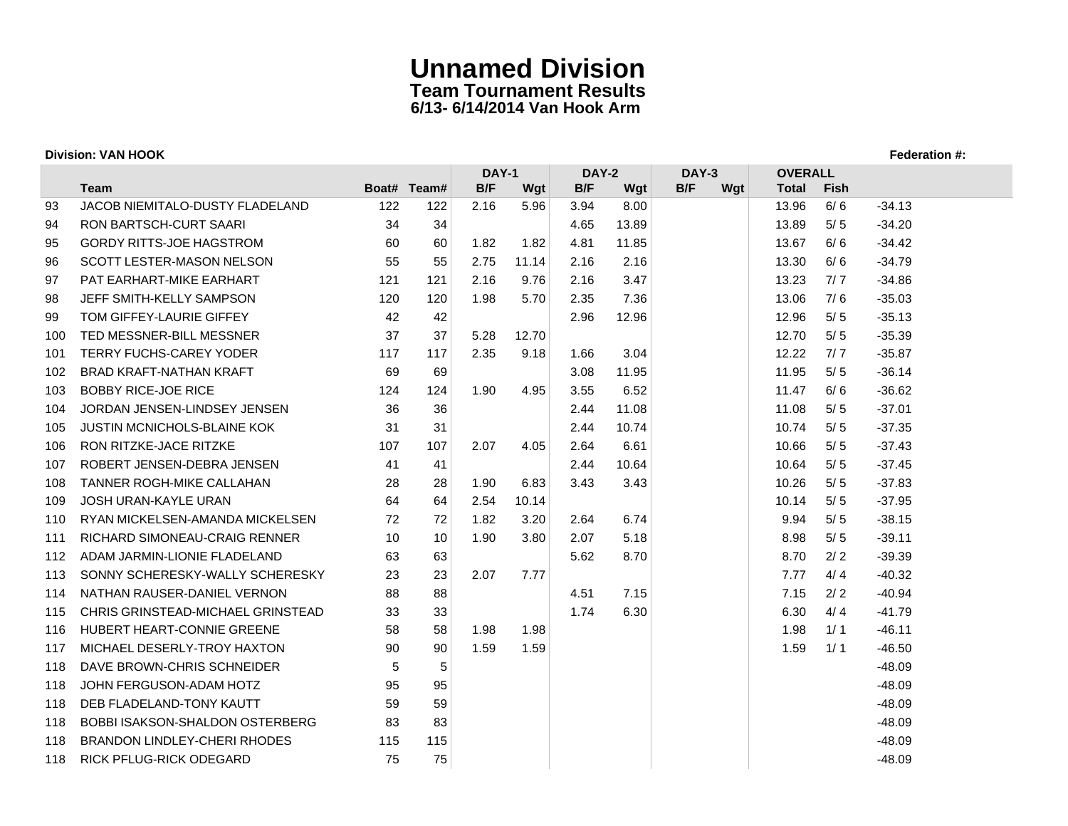### **Division: VAN HOOK Federation #:**

|     |                                        |     |             | <b>DAY-1</b> |       | <b>DAY-2</b> |       | DAY-3      | <b>OVERALL</b> |             |          |
|-----|----------------------------------------|-----|-------------|--------------|-------|--------------|-------|------------|----------------|-------------|----------|
|     | <b>Team</b>                            |     | Boat# Team# | B/F          | Wgt   | B/F          | Wgt   | B/F<br>Wgt | <b>Total</b>   | <b>Fish</b> |          |
| 93  | <b>JACOB NIEMITALO-DUSTY FLADELAND</b> | 122 | 122         | 2.16         | 5.96  | 3.94         | 8.00  |            | 13.96          | 6/6         | $-34.13$ |
| 94  | <b>RON BARTSCH-CURT SAARI</b>          | 34  | 34          |              |       | 4.65         | 13.89 |            | 13.89          | 5/5         | $-34.20$ |
| 95  | <b>GORDY RITTS-JOE HAGSTROM</b>        | 60  | 60          | 1.82         | 1.82  | 4.81         | 11.85 |            | 13.67          | 6/6         | $-34.42$ |
| 96  | <b>SCOTT LESTER-MASON NELSON</b>       | 55  | 55          | 2.75         | 11.14 | 2.16         | 2.16  |            | 13.30          | 6/6         | $-34.79$ |
| 97  | PAT EARHART-MIKE EARHART               | 121 | 121         | 2.16         | 9.76  | 2.16         | 3.47  |            | 13.23          | 7/7         | $-34.86$ |
| 98  | JEFF SMITH-KELLY SAMPSON               | 120 | 120         | 1.98         | 5.70  | 2.35         | 7.36  |            | 13.06          | 7/6         | $-35.03$ |
| 99  | TOM GIFFEY-LAURIE GIFFEY               | 42  | 42          |              |       | 2.96         | 12.96 |            | 12.96          | 5/5         | $-35.13$ |
| 100 | TED MESSNER-BILL MESSNER               | 37  | 37          | 5.28         | 12.70 |              |       |            | 12.70          | 5/5         | $-35.39$ |
| 101 | <b>TERRY FUCHS-CAREY YODER</b>         | 117 | 117         | 2.35         | 9.18  | 1.66         | 3.04  |            | 12.22          | 7/7         | $-35.87$ |
| 102 | <b>BRAD KRAFT-NATHAN KRAFT</b>         | 69  | 69          |              |       | 3.08         | 11.95 |            | 11.95          | 5/5         | $-36.14$ |
| 103 | <b>BOBBY RICE-JOE RICE</b>             | 124 | 124         | 1.90         | 4.95  | 3.55         | 6.52  |            | 11.47          | 6/6         | $-36.62$ |
| 104 | JORDAN JENSEN-LINDSEY JENSEN           | 36  | 36          |              |       | 2.44         | 11.08 |            | 11.08          | 5/5         | $-37.01$ |
| 105 | <b>JUSTIN MCNICHOLS-BLAINE KOK</b>     | 31  | 31          |              |       | 2.44         | 10.74 |            | 10.74          | 5/5         | $-37.35$ |
| 106 | RON RITZKE-JACE RITZKE                 | 107 | 107         | 2.07         | 4.05  | 2.64         | 6.61  |            | 10.66          | 5/5         | $-37.43$ |
| 107 | ROBERT JENSEN-DEBRA JENSEN             | 41  | 41          |              |       | 2.44         | 10.64 |            | 10.64          | $5/5$       | $-37.45$ |
| 108 | TANNER ROGH-MIKE CALLAHAN              | 28  | 28          | 1.90         | 6.83  | 3.43         | 3.43  |            | 10.26          | 5/5         | $-37.83$ |
| 109 | JOSH URAN-KAYLE URAN                   | 64  | 64          | 2.54         | 10.14 |              |       |            | 10.14          | 5/5         | $-37.95$ |
| 110 | RYAN MICKELSEN-AMANDA MICKELSEN        | 72  | 72          | 1.82         | 3.20  | 2.64         | 6.74  |            | 9.94           | 5/5         | $-38.15$ |
| 111 | RICHARD SIMONEAU-CRAIG RENNER          | 10  | 10          | 1.90         | 3.80  | 2.07         | 5.18  |            | 8.98           | 5/5         | $-39.11$ |
| 112 | ADAM JARMIN-LIONIE FLADELAND           | 63  | 63          |              |       | 5.62         | 8.70  |            | 8.70           | 2/2         | $-39.39$ |
| 113 | SONNY SCHERESKY-WALLY SCHERESKY        | 23  | 23          | 2.07         | 7.77  |              |       |            | 7.77           | 4/4         | $-40.32$ |
| 114 | NATHAN RAUSER-DANIEL VERNON            | 88  | 88          |              |       | 4.51         | 7.15  |            | 7.15           | 2/2         | $-40.94$ |
| 115 | CHRIS GRINSTEAD-MICHAEL GRINSTEAD      | 33  | 33          |              |       | 1.74         | 6.30  |            | 6.30           | 4/4         | $-41.79$ |
| 116 | HUBERT HEART-CONNIE GREENE             | 58  | 58          | 1.98         | 1.98  |              |       |            | 1.98           | 1/1         | $-46.11$ |
| 117 | MICHAEL DESERLY-TROY HAXTON            | 90  | 90          | 1.59         | 1.59  |              |       |            | 1.59           | 1/1         | $-46.50$ |
| 118 | DAVE BROWN-CHRIS SCHNEIDER             | 5   | 5           |              |       |              |       |            |                |             | $-48.09$ |
| 118 | JOHN FERGUSON-ADAM HOTZ                | 95  | 95          |              |       |              |       |            |                |             | $-48.09$ |
| 118 | DEB FLADELAND-TONY KAUTT               | 59  | 59          |              |       |              |       |            |                |             | $-48.09$ |
| 118 | BOBBI ISAKSON-SHALDON OSTERBERG        | 83  | 83          |              |       |              |       |            |                |             | $-48.09$ |
| 118 | <b>BRANDON LINDLEY-CHERI RHODES</b>    | 115 | 115         |              |       |              |       |            |                |             | $-48.09$ |
| 118 | RICK PFLUG-RICK ODEGARD                | 75  | 75          |              |       |              |       |            |                |             | $-48.09$ |